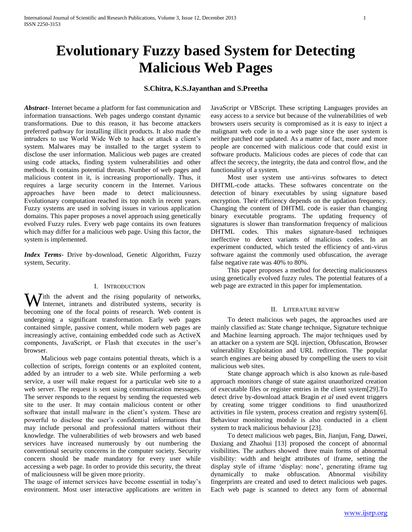# **Evolutionary Fuzzy based System for Detecting Malicious Web Pages**

# **S.Chitra, K.S.Jayanthan and S.Preetha**

*Abstract***-** Internet became a platform for fast communication and information transactions. Web pages undergo constant dynamic transformations. Due to this reason, it has become attackers preferred pathway for installing illicit products. It also made the intruders to use World Wide Web to hack or attack a client's system. Malwares may be installed to the target system to disclose the user information. Malicious web pages are created using code attacks, finding system vulnerabilities and other methods. It contains potential threats. Number of web pages and malicious content in it, is increasing proportionally. Thus, it requires a large security concern in the Internet. Various approaches have been made to detect maliciousness. Evolutionary computation reached its top notch in recent years. Fuzzy systems are used in solving issues in various application domains. This paper proposes a novel approach using genetically evolved Fuzzy rules. Every web page contains its own features which may differ for a malicious web page. Using this factor, the system is implemented.

*Index Terms*- Drive by-download, Genetic Algorithm, Fuzzy system, Security.

#### I. INTRODUCTION

With the advent and the rising popularity of networks, Intranets, intranets and distributed systems, security is Internet, intranets and distributed systems, security is becoming one of the focal points of research. Web content is undergoing a significant transformation. Early web pages contained simple, passive content, while modern web pages are increasingly active, containing embedded code such as ActiveX components, JavaScript, or Flash that executes in the user's browser.

 Malicious web page contains potential threats, which is a collection of scripts, foreign contents or an exploited content, added by an intruder to a web site. While performing a web service, a user will make request for a particular web site to a web server. The request is sent using communication messages. The server responds to the request by sending the requested web site to the user. It may contain malicious content or other software that install malware in the client's system. These are powerful to disclose the user's confidential informations that may include personal and professional matters without their knowledge. The vulnerabilities of web browsers and web based services have increased numerously by out numbering the conventional security concerns in the computer society. Security concern should be made mandatory for every user while accessing a web page. In order to provide this security, the threat of maliciousness will be given more priority.

The usage of internet services have become essential in today's environment. Most user interactive applications are written in JavaScript or VBScript. These scripting Languages provides an easy access to a service but because of the vulnerabilities of web browsers users security is compromised as it is easy to inject a malignant web code in to a web page since the user system is neither patched nor updated. As a matter of fact, more and more people are concerned with malicious code that could exist in software products. Malicious codes are pieces of code that can affect the secrecy, the integrity, the data and control flow, and the functionality of a system.

 Most user system use anti-virus softwares to detect DHTML-code attacks. These softwares concentrate on the detection of binary executables by using signature based encryption. Their efficiency depends on the updation frequency. Changing the content of DHTML code is easier than changing binary executable programs. The updating frequency of signatures is slower than transformation frequency of malicious DHTML codes. This makes signature-based techniques ineffective to detect variants of malicious codes. In an experiment conducted, which tested the efficiency of anti-virus software against the commonly used obfuscation, the average false negative rate was 40% to 80%.

 This paper proposes a method for detecting maliciousness using genetically evolved fuzzy rules. The potential features of a web page are extracted in this paper for implementation.

#### II. LITERATURE REVIEW

 To detect malicious web pages, the approaches used are mainly classified as: State change technique, Signature technique and Machine learning approach. The major techniques used by an attacker on a system are SQL injection, Obfuscation, Browser vulnerability Exploitation and URL redirection. The popular search engines are being abused by compelling the users to visit malicious web sites.

 State change approach which is also known as rule-based approach monitors change of state against unauthorized creation of executable files or register entries in the client system[29].To detect drive by-download attack Bragin *et al* used event triggers by creating some trigger conditions to find unauthorized activities in file system, process creation and registry system[6]. Behaviour monitoring module is also conducted in a client system to track malicious behaviour [23].

 To detect malicious web pages, Bin, Jianjun, Fang, Dawei, Daxiang and Zhaohui [13] proposed the concept of abnormal visibilities. The authors showed three main forms of abnormal visibility: width and height attributes of iframe, setting the display style of iframe 'display: none', generating iframe tag dynamically to make obfuscation. Abnormal visibility fingerprints are created and used to detect malicious web pages. Each web page is scanned to detect any form of abnormal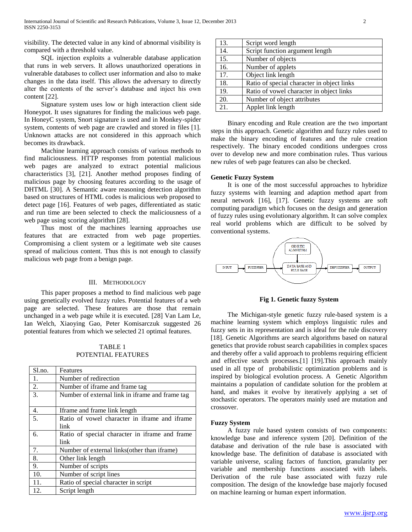visibility. The detected value in any kind of abnormal visibility is compared with a threshold value.

 SQL injection exploits a vulnerable database application that runs in web servers. It allows unauthorized operations in vulnerable databases to collect user information and also to make changes in the data itself. This allows the adversary to directly alter the contents of the server's database and inject his own content [22].

 Signature system uses low or high interaction client side Honeypot. It uses signatures for finding the malicious web page. In HoneyC system, Snort signature is used and in Monkey-spider system, contents of web page are crawled and stored in files [1]. Unknown attacks are not considered in this approach which becomes its drawback.

 Machine learning approach consists of various methods to find maliciousness. HTTP responses from potential malicious web pages are analyzed to extract potential malicious characteristics [3], [21]. Another method proposes finding of malicious page by choosing features according to the usage of DHTML [30]. A Semantic aware reasoning detection algorithm based on structures of HTML codes is malicious web proposed to detect page [16]. Features of web pages, differentiated as static and run time are been selected to check the maliciousness of a web page using scoring algorithm [28].

 Thus most of the machines learning approaches use features that are extracted from web page properties. Compromising a client system or a legitimate web site causes spread of malicious content. Thus this is not enough to classify malicious web page from a benign page.

#### III. METHODOLOGY

 This paper proposes a method to find malicious web page using genetically evolved fuzzy rules. Potential features of a web page are selected. These features are those that remain unchanged in a web page while it is executed. [28] Van Lam Le, Ian Welch, Xiaoying Gao, Peter Komisarczuk suggested 26 potential features from which we selected 21 optimal features.

### TABLE 1 POTENTIAL FEATURES

| Sl.no. | Features                                        |
|--------|-------------------------------------------------|
| 1.     | Number of redirection                           |
| 2.     | Number of iframe and frame tag                  |
| 3.     | Number of external link in iframe and frame tag |
| 4.     | Iframe and frame link length                    |
| 5.     | Ratio of vowel character in iframe and iframe   |
|        | link                                            |
| 6.     | Ratio of special character in iframe and frame  |
|        | link                                            |
| 7.     | Number of external links (other than if rame)   |
| 8.     | Other link length                               |
| 9.     | Number of scripts                               |
| 10.    | Number of script lines                          |
| 11.    | Ratio of special character in script            |
| 12.    | Script length                                   |

| 13. | Script word length                         |
|-----|--------------------------------------------|
| 14. | Script function argument length            |
| 15. | Number of objects                          |
| 16. | Number of applets                          |
| 17. | Object link length                         |
| 18. | Ratio of special character in object links |
| 19. | Ratio of vowel character in object links   |
| 20. | Number of object attributes                |
| 21. | Applet link length                         |

 Binary encoding and Rule creation are the two important steps in this approach. Genetic algorithm and fuzzy rules used to make the binary encoding of features and the rule creation respectively. The binary encoded conditions undergoes cross over to develop new and more combination rules. Thus various new rules of web page features can also be checked.

# **Genetic Fuzzy System**

 It is one of the most successful approaches to hybridize fuzzy systems with learning and adaption method apart from neural network [16], [17]. Genetic fuzzy systems are soft computing paradigm which focuses on the design and generation of fuzzy rules using evolutionary algorithm. It can solve complex real world problems which are difficult to be solved by conventional systems.



**Fig 1. Genetic fuzzy System**

 The Michigan-style genetic fuzzy rule-based system is a machine learning system which employs linguistic rules and fuzzy sets in its representation and is ideal for the rule discovery [18]. Genetic Algorithms are search algorithms based on natural genetics that provide robust search capabilities in complex spaces and thereby offer a valid approach to problems requiring efficient and effective search processes.[1] [19].This approach mainly used in all type of probabilistic optimization problems and is inspired by biological evolution process. A Genetic Algorithm maintains a population of candidate solution for the problem at hand, and makes it evolve by iteratively applying a set of stochastic operators. The operators mainly used are mutation and crossover.

# **Fuzzy System**

 A fuzzy rule based system consists of two components: knowledge base and inference system [20]. Definition of the database and derivation of the rule base is associated with knowledge base. The definition of database is associated with variable universe, scaling factors of function, granularity per variable and membership functions associated with labels. Derivation of the rule base associated with fuzzy rule composition. The design of the knowledge base majorly focused on machine learning or human expert information.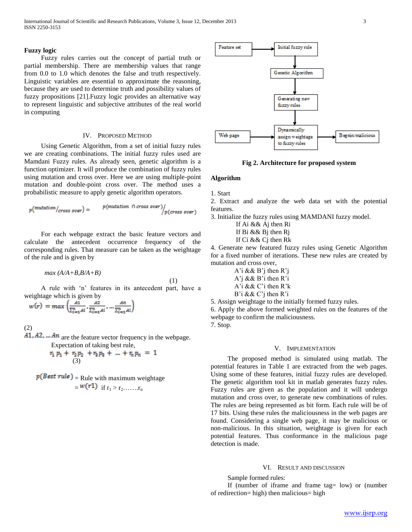#### **Fuzzy logic**

 Fuzzy rules carries out the concept of partial truth or partial membership. There are membership values that range from 0.0 to 1.0 which denotes the false and truth respectively. Linguistic variables are essential to approximate the reasoning, because they are used to determine truth and possibility values of fuzzy propositions [21].Fuzzy logic provides an alternative way to represent linguistic and subjective attributes of the real world in computing

### IV. PROPOSED METHOD

 Using Genetic Algorithm, from a set of initial fuzzy rules we are creating combinations. The initial fuzzy rules used are Mamdani Fuzzy rules. As already seen, genetic algorithm is a function optimizer. It will produce the combination of fuzzy rules using mutation and cross over. Here we are using multiple-point mutation and double-point cross over. The method uses a probabilistic measure to apply genetic algorithm operators.

$$
p\big(\textit{mutation} / \textit{cross over}\big) = \begin{array}{c} p\big(\textit{mutation} \ \cap \textit{cross over}\big) / \\ p\big(\textit{cross over}\big) \end{array}
$$

 For each webpage extract the basic feature vectors and calculate the antecedent occurrence frequency of the corresponding rules. That measure can be taken as the weightage of the rule and is given by

$$
max (A/A+B,B/A+B)
$$

(1)

 A rule with 'n' features in its antecedent part, have a weightage which is given by

$$
w(r) = max \left( \frac{A1}{\sum_{i=1}^n Ai}, \frac{A2}{\sum_{i=1}^n Ai}, \dots \frac{An}{\sum_{i=1}^n Ai} \right)
$$

(2)

 $A1, A2, \ldots An$  are the feature vector frequency in the webpage. Expectation of taking best rule,

$$
r_1 p_1 + r_2 p_2 + r_3 p_3 + \dots + r_n p_n = 1
$$
  
(3)

 $p(Best rule)$  = Rule with maximum weightage  $=$   $w(r1)$  if  $r_1 > r_2$ ……..



**Fig 2. Architecture for proposed system**

# **Algorithm**

1. Start

2. Extract and analyze the web data set with the potential features.

3. Initialize the fuzzy rules using MAMDANI fuzzy model.

- If Ai && Aj then Ri If Bi && Bj then Rj
- If Ci && Cj then Rk

4. Generate new featured fuzzy rules using Genetic Algorithm for a fixed number of iterations. These new rules are created by mutation and cross over,

A'i  $\&\&\ B$ 'i then R'i A'j && B'i then R'i A'i && C'i then R'k B'i && C'j then R'i

5. Assign weightage to the initially formed fuzzy rules. 6. Apply the above formed weighted rules on the features of the

webpage to confirm the maliciousness.

7. Stop.

#### V. IMPLEMENTATION

 The proposed method is simulated using matlab. The potential features in Table 1 are extracted from the web pages. Using some of these features, initial fuzzy rules are developed. The genetic algorithm tool kit in matlab generates fuzzy rules. Fuzzy rules are given as the population and it will undergo mutation and cross over, to generate new combinations of rules. The rules are being represented as bit form. Each rule will be of 17 bits. Using these rules the maliciousness in the web pages are found. Considering a single web page, it may be malicious or non-malicious. In this situation, weightage is given for each potential features. Thus conformance in the malicious page detection is made.

#### VI. RESULT AND DISCUSSION

Sample formed rules:

 If (number of iframe and frame tag= low) or (number of redirection= high) then malicious= high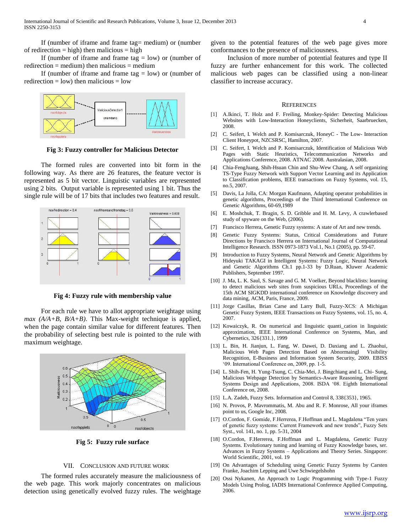If (number of iframe and frame tag  $=$  low) or (number of redirection = medium) then malicious = medium

If (number of iframe and frame tag  $=$  low) or (number of redirection  $=$  low) then malicious  $=$  low



**Fig 3: Fuzzy controller for Malicious Detector**

 The formed rules are converted into bit form in the following way. As there are 26 features, the feature vector is represented as 5 bit vector. Linguistic variables are represented using 2 bits. Output variable is represented using 1 bit. Thus the single rule will be of 17 bits that includes two features and result.



**Fig 4: Fuzzy rule with membership value**

 For each rule we have to allot appropriate weightage using *max (A/A+B, B/A+B)*. This Max-weight technique is applied, when the page contain similar value for different features. Then the probability of selecting best rule is pointed to the rule with maximum weightage.



**Fig 5: Fuzzy rule surface**

#### VII. CONCLUSION AND FUTURE WORK

 The formed rules accurately measure the maliciousness of the web page. This work majorly concentrates on malicious detection using genetically evolved fuzzy rules. The weightage

given to the potential features of the web page gives more conformances to the presence of maliciousness.

 Inclusion of more number of potential features and type II fuzzy are further enhancement for this work. The collected malicious web pages can be classified using a non-linear classifier to increase accuracy.

#### **REFERENCES**

- [1] A.Ikinci, T. Holz and F. Freiling, Monkey-Spider: Detecting Malicious Websites with Low-Interaction Honeyclients, Sicherheit, Saarbruecken, 2008.
- [2] C. Seifert, I. Welch and P. Komisarczuk, HoneyC The Low- Interaction Client Honeypot, NZCSRSC, Hamilton, 2007.
- [3] C. Seifert, I. Welch and P. Komisarczuk, Identification of Malicious Web Pages with Static Heuristics, Telecommunication Networks and Applications Conference, 2008. ATNAC 2008. Australasian, 2008.
- [4] Chia-FengJuang, Shih-Hsuan Chin and Shu-Wew Chang, A self organizing TS-Type Fuzzy Network with Support Vector Learning and its Application to Classification problems, IEEE transactions on Fuzzy Systems, vol. 15, no.5, 2007.
- [5] Davis, La Jolla, CA: Morgan Kaufmann, Adapting operator probabilities in genetic algorithms, Proceedings of the Third International Conference on Genetic Algorithms, 60-69,1989
- [6] E. Moshchuk, T. Bragin, S. D. Gribble and H. M. Levy, A crawlerbased study of spyware on the Web, (2006).
- [7] Francisco Herrera, Genetic Fuzzy systems: A state of Art and new trends.
- [8] Genetic Fuzzy Systems: Status, Critical Considerations and Future Directions by Francisco Herrera on International Journal of Computational Intelligence Research. ISSN 0973-1873 Vol.1, No.1 (2005), pp. 59-67.
- [9] Introduction to Fuzzy Systems, Neural Network and Genetic Algorithms by Hideyuki TAKAGI in Intelligent Systems: Fuzzy Logic, Neural Network and Genetic Algorithms Ch.1 pp.1-33 by D.Ruan, Kluwer Academic Publishers, September 1997.
- [10] J. Ma, L. K. Saul, S. Savage and G. M. Voelker, Beyond blacklists: learning to detect malicious web sites from suspicious URLs, Proceedings of the 15th ACM SIGKDD international conference on Knowledge discovery and data mining, ACM, Paris, France, 2009.
- [11] Jorge Casillas, Brian Carse and Larry Bull, Fuzzy-XCS: A Michigan Genetic Fuzzy System, IEEE Transactions on Fuzzy Systems, vol. 15, no. 4, 2007.
- [12] Kowaiczyk, R. On numerical and linguistic quanti\_cation in linguistic approximation, IEEE International Conference on Systems, Man, and Cybernetics, 326{331.}, 1999
- [13] L. Bin, H. Jianjun, L. Fang, W. Dawei, D. Daxiang and L. Zhaohui, Malicious Web Pages Detection Based on Abnormaingl Visibility Recognition, E-Business and Information System Security, 2009. EBISS '09. International Conference on, 2009, pp. 1-5.
- [14] L. Shih-Fen, H. Yung-Tsung, C. Chia-Mei, J. Bingchiang and L. Chi- Sung, Malicious Webpage Detection by Semantics-Aware Reasoning, Intelligent Systems Design and Applications, 2008. ISDA '08. Eighth International Conference on, 2008.
- [15] L.A. Zadeh, Fuzzy Sets. Information and Control 8, 338{353}, 1965.
- [16] N. Provos, P. Mavrommatis, M. Abu and R. F. Monrose, All your iframes point to us, Google Inc, 2008.
- [17] O.Cordon, F. Gomide, F.Herrerea, F.Hoffman and L. Magdalena "Ten years of genetic fuzzy systems: Current Framework and new trends", Fuzzy Sets Syst., vol. 141, no. 1, pp. 5-31, 2004
- [18] O.Cordon, F.Herrerea, F.Hoffman and L. Magdalena, Genetic Fuzzy Systems. Evolutionary tuning and learning of Fuzzy Knowledge bases, ser. Advances in Fuzzy Systems – Applications and Theory Series. Singapore: World Scientific, 2001, vol. 19
- [19] On Advantages of Scheduling using Genetic Fuzzy Systems by Carsten Franke, Joachim Lepping and Uwe Schwiegelshohn
- [20] Ossi Nykanen, An Approach to Logic Programming with Type-1 Fuzzy Models Using Prolog, IADIS International Conference Applied Computing, 2006.